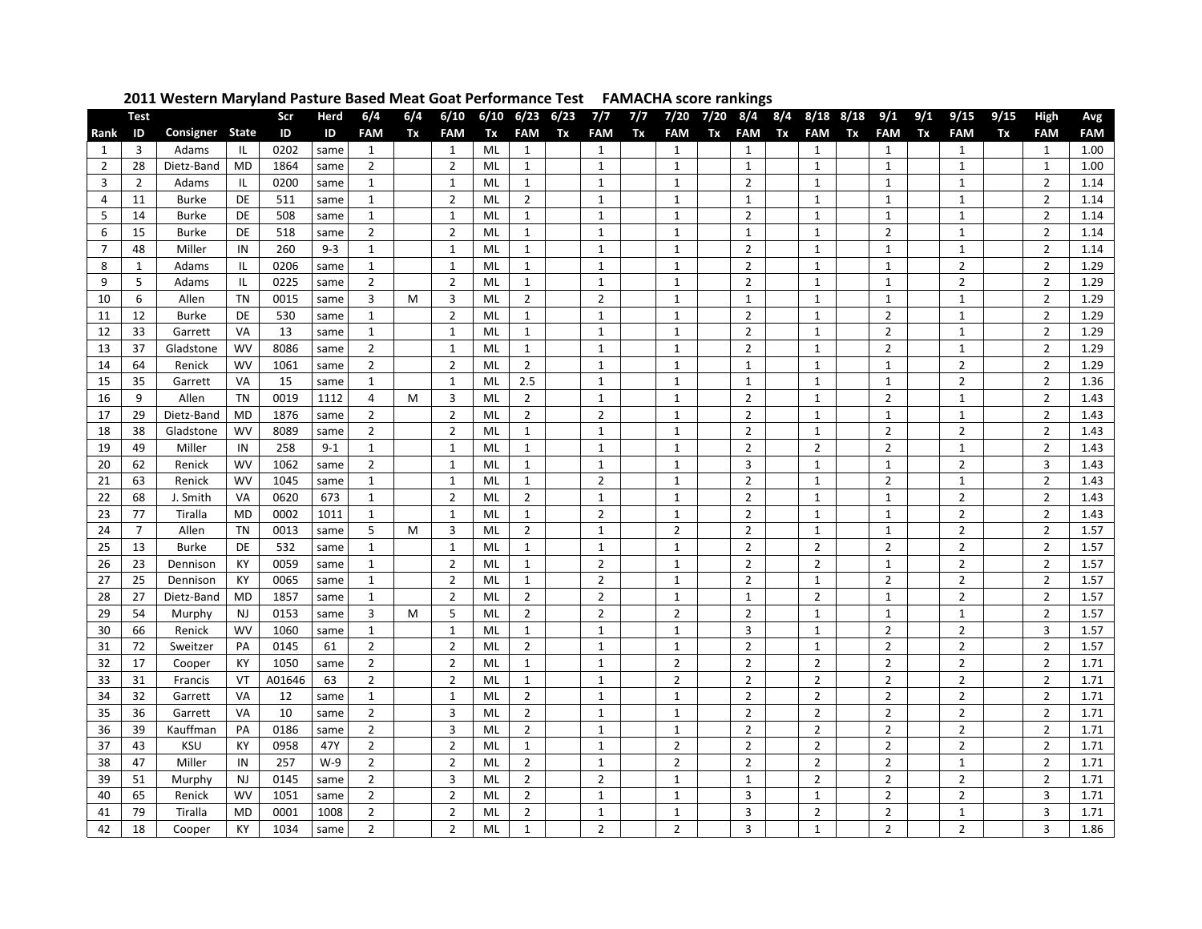| Consigner<br><b>State</b><br><b>FAM</b><br><b>FAM</b><br>ID<br>ID<br>ID<br>Tx<br>Tx<br><b>FAM</b><br>Tx<br><b>FAM</b><br>Tx<br><b>FAM</b><br>Tx<br><b>FAM</b><br>Tx<br><b>FAM</b><br>Tx<br><b>FAM</b><br>Tx<br>Rank<br>0202<br>$\mathbf{1}$<br>Adams<br>ML<br>$\mathbf{1}$<br>$\mathbf{1}$<br>3<br>IL<br>1<br>1<br>1<br>1<br>1<br>1<br>same<br>$\overline{2}$<br>$\overline{2}$<br>$\mathbf{1}$<br>28<br>1864<br>$\overline{2}$<br>$\mathbf{1}$<br>$\mathbf{1}$<br>$\mathbf{1}$<br>Dietz-Band<br>MD<br>ML<br>1<br>same<br>1 | <b>FAM</b><br>Tx<br><b>FAM</b><br>$\mathbf{1}$<br>$\mathbf{1}$<br>$\mathbf{1}$<br>$\mathbf{1}$<br>$\overline{2}$<br>$\mathbf{1}$ | <b>FAM</b><br>1.00<br>1.00 |
|-----------------------------------------------------------------------------------------------------------------------------------------------------------------------------------------------------------------------------------------------------------------------------------------------------------------------------------------------------------------------------------------------------------------------------------------------------------------------------------------------------------------------------|----------------------------------------------------------------------------------------------------------------------------------|----------------------------|
|                                                                                                                                                                                                                                                                                                                                                                                                                                                                                                                             |                                                                                                                                  |                            |
|                                                                                                                                                                                                                                                                                                                                                                                                                                                                                                                             |                                                                                                                                  |                            |
|                                                                                                                                                                                                                                                                                                                                                                                                                                                                                                                             |                                                                                                                                  |                            |
| $\mathbf{1}$<br>$\overline{2}$<br>$\mathbf{1}$<br>3<br>$\overline{2}$<br>0200<br>$\mathbf{1}$<br>$\mathbf{1}$<br>ML<br>$\mathbf{1}$<br>$\mathbf{1}$<br>$\mathbf{1}$<br>Adams<br>IL<br>same                                                                                                                                                                                                                                                                                                                                  |                                                                                                                                  | 1.14                       |
| $\overline{2}$<br>$\overline{2}$<br>511<br>$\mathbf{1}$<br>$\mathbf{1}$<br>$\mathbf{1}$<br>$\mathbf{1}$<br>$\mathbf{1}$<br>4<br>11<br><b>Burke</b><br>DE<br>1<br>ML<br>same                                                                                                                                                                                                                                                                                                                                                 | $\overline{2}$<br>$\mathbf{1}$                                                                                                   | 1.14                       |
| 5<br>14<br>508<br>$\mathbf{1}$<br>$\overline{2}$<br>$\mathbf{1}$<br>$\mathbf{1}$<br><b>Burke</b><br>DE<br>1<br>$\mathbf{1}$<br>ML<br>$\mathbf{1}$<br>1<br>same                                                                                                                                                                                                                                                                                                                                                              | $\mathbf{1}$<br>$\overline{2}$                                                                                                   | 1.14                       |
| $\overline{2}$<br>$\overline{2}$<br>$\mathbf{1}$<br>6<br>15<br>DE<br>518<br>$\mathbf{1}$<br>$\mathbf{1}$<br>$\mathbf{1}$<br>$\mathbf{1}$<br>$\overline{2}$<br><b>Burke</b><br>ML<br>same                                                                                                                                                                                                                                                                                                                                    | $\overline{2}$<br>$\mathbf{1}$                                                                                                   | 1.14                       |
| 260<br>$\mathbf{1}$<br>$\mathbf{1}$<br>$\overline{2}$<br>$\mathbf{1}$<br>$\overline{7}$<br>48<br>$9 - 3$<br>$\mathbf{1}$<br>$\mathbf{1}$<br>$\mathbf{1}$<br>$\mathbf{1}$<br>Miller<br>IN<br>ML                                                                                                                                                                                                                                                                                                                              | $\overline{2}$<br>$\mathbf{1}$                                                                                                   | 1.14                       |
| 8<br>0206<br>$\overline{2}$<br>Adams<br>IL<br>$\mathbf{1}$<br>$\mathbf{1}$<br>ML<br>1<br>1<br>1<br>1<br>$\mathbf{1}$<br>same<br>1                                                                                                                                                                                                                                                                                                                                                                                           | $\overline{2}$<br>$\overline{2}$                                                                                                 | 1.29                       |
| $\overline{2}$<br>9<br>5<br>0225<br>$\overline{2}$<br>$\overline{2}$<br>$\mathbf{1}$<br>$\mathbf{1}$<br>Adams<br>IL<br>ML<br>$\mathbf{1}$<br>1<br>1<br>same                                                                                                                                                                                                                                                                                                                                                                 | $\overline{2}$<br>$\overline{2}$                                                                                                 | 1.29                       |
| $\overline{2}$<br>$\overline{2}$<br>6<br>0015<br>3<br>3<br>$\mathbf{1}$<br>$\mathbf{1}$<br>$\mathbf{1}$<br>10<br>Allen<br>TN<br>ML<br>1<br>same<br>M                                                                                                                                                                                                                                                                                                                                                                        | $\overline{2}$<br>$\mathbf{1}$                                                                                                   | 1.29                       |
| $\overline{2}$<br>530<br>$\mathbf{1}$<br>$\overline{2}$<br>$\mathbf{1}$<br>$\mathbf{1}$<br>$\mathbf{1}$<br>$\overline{2}$<br>11<br>12<br>DE<br>ML<br>1<br>Burke<br>same                                                                                                                                                                                                                                                                                                                                                     | $\overline{2}$<br>$\mathbf{1}$                                                                                                   | 1.29                       |
| 13<br>33<br>$\mathbf{1}$<br>$\overline{2}$<br>$\mathbf{1}$<br>$\overline{2}$<br>12<br>VA<br>1<br>1<br>$\mathbf{1}$<br>1<br>Garrett<br>same<br>ML                                                                                                                                                                                                                                                                                                                                                                            | $\overline{2}$<br>$\mathbf{1}$                                                                                                   | 1.29                       |
| 8086<br>$\overline{2}$<br>$\overline{2}$<br>13<br>37<br>Gladstone<br>WV<br>1<br>1<br>1<br>2<br>same<br>ML<br>$\mathbf{1}$<br>1                                                                                                                                                                                                                                                                                                                                                                                              | $\overline{2}$<br>$\mathbf{1}$                                                                                                   | 1.29                       |
| $\overline{2}$<br>$\overline{2}$<br>$\mathbf 1$<br>64<br>1061<br>$\overline{2}$<br>$\mathbf{1}$<br>$\mathbf{1}$<br>$\mathbf{1}$<br>14<br>Renick<br>WV<br>ML<br>$\mathbf{1}$<br>same                                                                                                                                                                                                                                                                                                                                         | $\overline{2}$<br>$\overline{2}$                                                                                                 | 1.29                       |
| 2.5<br>15<br>35<br>15<br>$\mathbf{1}$<br>1<br>$\mathbf{1}$<br>$\mathbf{1}$<br>$\mathbf{1}$<br>$\mathbf{1}$<br>Garrett<br>VA<br>$\mathbf{1}$<br>ML<br>same                                                                                                                                                                                                                                                                                                                                                                   | $\overline{2}$<br>$\overline{2}$                                                                                                 | 1.36                       |
| $\overline{2}$<br>$\overline{2}$<br>$\mathbf{1}$<br>9<br>0019<br>1112<br>3<br>$\mathbf{1}$<br>$\mathbf{1}$<br>$\overline{2}$<br>16<br>Allen<br><b>TN</b><br>4<br>ML<br>M                                                                                                                                                                                                                                                                                                                                                    | $\overline{2}$<br>$\overline{1}$                                                                                                 | 1.43                       |
| $\overline{2}$<br>$\overline{2}$<br>$\overline{2}$<br>$\overline{2}$<br>29<br>1876<br>$\overline{2}$<br>$\mathbf{1}$<br>$\mathbf{1}$<br>$\mathbf{1}$<br>17<br>Dietz-Band<br><b>MD</b><br>ML<br>same                                                                                                                                                                                                                                                                                                                         | $\overline{2}$<br>$\mathbf{1}$                                                                                                   | 1.43                       |
| $\overline{2}$<br>18<br>38<br>Gladstone<br><b>WV</b><br>8089<br>$\overline{2}$<br>$\overline{2}$<br>$\mathbf{1}$<br>$\mathbf{1}$<br>$\overline{2}$<br>ML<br>$\mathbf{1}$<br>1<br>same                                                                                                                                                                                                                                                                                                                                       | $\overline{2}$<br>$\overline{2}$                                                                                                 | 1.43                       |
| $\overline{2}$<br>$\overline{2}$<br>$\mathbf{1}$<br>$\overline{2}$<br>19<br>49<br>Miller<br>258<br>$9 - 1$<br>$\mathbf{1}$<br>$\mathbf{1}$<br>$\mathbf{1}$<br>$\mathbf{1}$<br>IN<br>ML                                                                                                                                                                                                                                                                                                                                      | $\overline{2}$<br>$\mathbf{1}$                                                                                                   | 1.43                       |
| $\overline{2}$<br>1062<br>$\mathbf{1}$<br>$\mathbf{1}$<br>$\mathbf{1}$<br>3<br>$\mathbf{1}$<br>$\mathbf{1}$<br>20<br>62<br><b>WV</b><br>$\mathbf{1}$<br>Renick<br>same<br>ML                                                                                                                                                                                                                                                                                                                                                | $\overline{2}$<br>3                                                                                                              | 1.43                       |
| 21<br><b>WV</b><br>1045<br>$\overline{2}$<br>$\overline{2}$<br>$1\,$<br>$\overline{2}$<br>63<br>$\mathbf{1}$<br>$\mathbf{1}$<br>ML<br>$\mathbf{1}$<br>$\mathbf{1}$<br>Renick<br>same                                                                                                                                                                                                                                                                                                                                        | $\overline{2}$<br>$\mathbf{1}$                                                                                                   | 1.43                       |
| $\overline{2}$<br>$\overline{2}$<br>$\mathbf{1}$<br>$\overline{2}$<br>$\mathbf{1}$<br>22<br>68<br>VA<br>0620<br>673<br>$\mathbf{1}$<br>$\mathbf{1}$<br>$\mathbf{1}$<br>J. Smith<br>ML                                                                                                                                                                                                                                                                                                                                       | $\overline{2}$<br>$\overline{2}$                                                                                                 | 1.43                       |
| 23<br>77<br>0002<br>1011<br>$\overline{2}$<br>$\overline{2}$<br>Tiralla<br><b>MD</b><br>1<br>$\mathbf{1}$<br>ML<br>$\mathbf{1}$<br>1<br>1<br>1                                                                                                                                                                                                                                                                                                                                                                              | $\overline{2}$<br>$\overline{2}$                                                                                                 | 1.43                       |
| $\overline{7}$<br>5<br>$\overline{2}$<br>$\overline{2}$<br>$\overline{2}$<br>$\mathbf{1}$<br>24<br><b>TN</b><br>0013<br>3<br>$\mathbf{1}$<br>$\mathbf{1}$<br>Allen<br>ML<br>same<br>м                                                                                                                                                                                                                                                                                                                                       | $\overline{2}$<br>$\overline{2}$                                                                                                 | 1.57                       |
| $\overline{2}$<br>$\overline{2}$<br>532<br>$\mathbf{1}$<br>$\mathbf{1}$<br>$\overline{2}$<br>25<br>13<br><b>Burke</b><br>DE<br>1<br>1<br>1<br>same<br>ML                                                                                                                                                                                                                                                                                                                                                                    | $\overline{2}$<br>$\overline{2}$                                                                                                 | 1.57                       |
| $\overline{2}$<br>$\overline{2}$<br>0059<br>$\mathbf{1}$<br>$\overline{2}$<br>$\overline{2}$<br>$\mathbf{1}$<br>$\mathbf{1}$<br>26<br>23<br>KY<br>ML<br>$\mathbf{1}$<br>Dennison<br>same                                                                                                                                                                                                                                                                                                                                    | $\overline{2}$<br>$\overline{2}$                                                                                                 | 1.57                       |
| 27<br>25<br>0065<br>$\overline{2}$<br>$\overline{2}$<br>$\mathbf{1}$<br>$\overline{2}$<br>$\mathbf{1}$<br>$\overline{2}$<br>KY<br>1<br>$\mathbf{1}$<br>Dennison<br>ML<br>same                                                                                                                                                                                                                                                                                                                                               | $\overline{2}$<br>$\overline{2}$                                                                                                 | 1.57                       |
| 28<br>1857<br>$\overline{2}$<br>$\overline{2}$<br>27<br>Dietz-Band<br>MD<br>1<br>$\overline{2}$<br>ML<br>2<br>1<br>$\mathbf{1}$<br>1<br>same                                                                                                                                                                                                                                                                                                                                                                                | $\overline{2}$<br>2                                                                                                              | 1.57                       |
| $\overline{2}$<br>$\overline{2}$<br>$\overline{2}$<br>$\overline{2}$<br>$1\,$<br>29<br>54<br>0153<br>3<br>5<br>$\mathbf{1}$<br>NJ<br>ML<br>Murphy<br>same<br>м<br>$\overline{2}$<br><b>WV</b>                                                                                                                                                                                                                                                                                                                               | $\overline{2}$<br>$\mathbf{1}$<br>$\overline{3}$                                                                                 | 1.57                       |
| $\mathbf{3}$<br>$\mathbf{1}$<br>$\mathbf{1}$<br>$\mathbf{1}$<br>$\mathbf{1}$<br>$\mathbf{1}$<br>$\mathbf{1}$<br>30<br>66<br>1060<br>Renick<br>same<br>ML<br>31<br>72<br>0145<br>$\overline{2}$<br>$\overline{2}$<br>$\overline{2}$<br>$1\,$<br>$\overline{2}$<br>$1\,$<br>$\overline{2}$<br>PA<br>61<br>ML<br>1                                                                                                                                                                                                             | $\overline{2}$<br>$\overline{2}$<br>$\overline{2}$                                                                               | 1.57<br>1.57               |
| Sweitzer<br>$\overline{2}$<br>17<br>$\overline{2}$<br>$\overline{2}$<br>$\overline{2}$<br>$\overline{2}$<br>$\overline{2}$<br>32<br>1050<br>ML<br>$\mathbf{1}$<br>1<br>КY                                                                                                                                                                                                                                                                                                                                                   | $\overline{2}$<br>$\overline{2}$                                                                                                 | 1.71                       |
| Cooper<br>same<br>$\overline{2}$<br>$\overline{2}$<br>$\overline{2}$<br>$\overline{2}$<br>$\overline{2}$<br>$\overline{2}$<br>33<br>31<br>VT<br>A01646<br>63<br>ML<br>$\mathbf{1}$<br>1                                                                                                                                                                                                                                                                                                                                     | $\overline{2}$<br>$\overline{2}$                                                                                                 | 1.71                       |
| Francis<br>$\overline{2}$<br>$\overline{2}$<br>32<br>$\overline{2}$<br>$\overline{2}$<br>34<br>VA<br>12<br>$\mathbf{1}$<br>$\mathbf{1}$<br>ML<br>$\mathbf{1}$<br>$\mathbf{1}$<br>Garrett                                                                                                                                                                                                                                                                                                                                    | $\overline{2}$<br>$\overline{2}$                                                                                                 | 1.71                       |
| same<br>3<br>$\overline{2}$<br>$\overline{2}$<br>35<br>36<br>10<br>$\overline{2}$<br>$\overline{2}$<br>$\mathbf{1}$<br>$\mathbf{1}$<br>$\overline{2}$<br>Garrett<br>VA<br>ML                                                                                                                                                                                                                                                                                                                                                | $\overline{2}$<br>$\overline{2}$                                                                                                 | 1.71                       |
| same<br>$\overline{2}$<br>$\overline{2}$<br>39<br>0186<br>$\overline{2}$<br>$\overline{3}$<br>$\overline{2}$<br>$\mathbf{1}$<br>$\overline{2}$<br>36<br>Kauffman<br>PA<br>ML<br>$\mathbf{1}$<br>same                                                                                                                                                                                                                                                                                                                        | $\overline{2}$<br>$\overline{2}$                                                                                                 | 1.71                       |
| 0958<br>$\overline{2}$<br>$\overline{2}$<br>$\overline{2}$<br>$\overline{2}$<br>37<br>43<br><b>KSU</b><br>KY<br>47Y<br>$\overline{2}$<br>$\mathbf{1}$<br>$\mathbf{1}$<br>$\overline{2}$<br>ML                                                                                                                                                                                                                                                                                                                               | $\overline{2}$<br>$\overline{2}$                                                                                                 | 1.71                       |
| 257<br>$\overline{2}$<br>38<br>47<br>Miller<br>$W-9$<br>$\overline{2}$<br>$\overline{2}$<br>$\overline{2}$<br>$\overline{2}$<br>$\overline{2}$<br>$\overline{2}$<br>IN<br>ML<br>1                                                                                                                                                                                                                                                                                                                                           | $\overline{2}$<br>1                                                                                                              | 1.71                       |
| $\overline{2}$<br>$\overline{2}$<br>$\overline{2}$<br>$\mathbf{1}$<br>$\overline{2}$<br>3<br>$\mathbf{1}$<br>$\overline{2}$<br>39<br>51<br>0145<br>Murphy<br><b>NJ</b><br>ML<br>same                                                                                                                                                                                                                                                                                                                                        | $\overline{2}$<br>$\overline{2}$                                                                                                 | 1.71                       |
| $\overline{3}$<br>$\overline{2}$<br>$\overline{2}$<br>$\overline{2}$<br>$\mathbf{1}$<br>$\mathbf{1}$<br>$\mathbf{1}$<br>$\overline{2}$<br>40<br>65<br><b>WV</b><br>1051<br>Renick<br>ML<br>same                                                                                                                                                                                                                                                                                                                             | $\overline{2}$<br>3                                                                                                              | 1.71                       |
| 79<br>3<br>$\overline{2}$<br>41<br><b>MD</b><br>0001<br>1008<br>$\overline{2}$<br>$\overline{2}$<br>ML<br>$\overline{2}$<br>$\mathbf{1}$<br>$\mathbf{1}$<br>$\overline{2}$<br>Tiralla                                                                                                                                                                                                                                                                                                                                       | 3<br>$\mathbf{1}$                                                                                                                | 1.71                       |
| $\overline{2}$<br>$\overline{2}$<br>$\overline{2}$<br>3<br>42<br>18<br>1034<br>$\overline{2}$<br>ML<br>$\mathbf{1}$<br>$\mathbf{1}$<br>$\overline{2}$<br>KY<br>Cooper<br>same                                                                                                                                                                                                                                                                                                                                               | 3<br>$\overline{2}$                                                                                                              | 1.86                       |

## **2011 Western Maryland Pasture Based Meat Goat Performance TestFAMACHA score rankings**